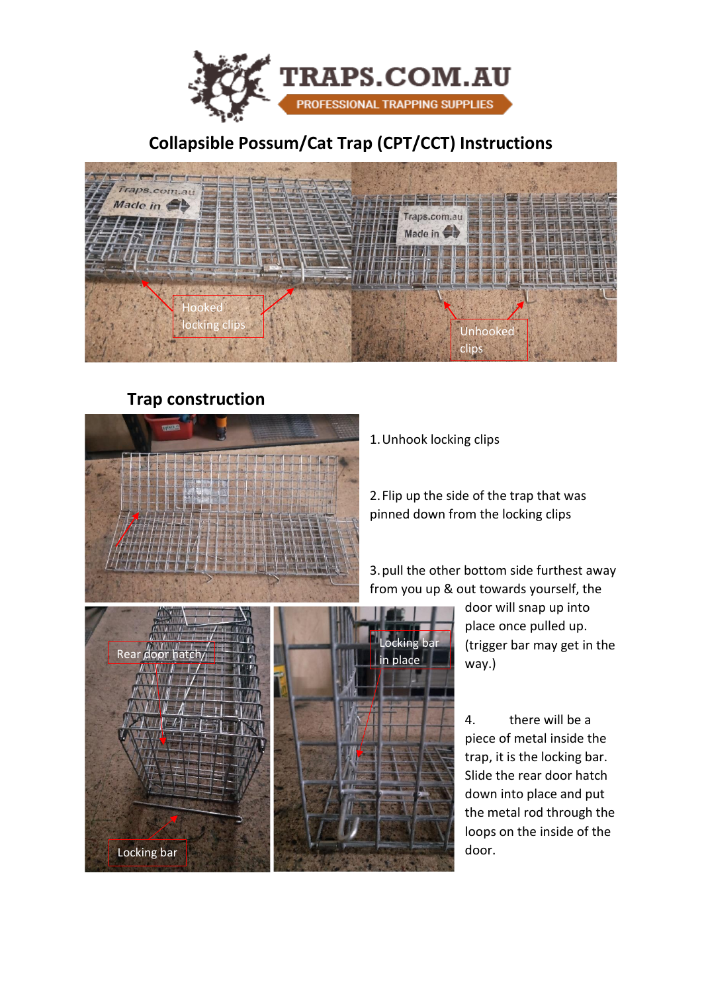

## **Collapsible Possum/Cat Trap (CPT/CCT) Instructions**



## **Trap construction**



1.Unhook locking clips

2.Flip up the side of the trap that was pinned down from the locking clips

3.pull the other bottom side furthest away from you up & out towards yourself, the



door will snap up into place once pulled up. (trigger bar may get in the way.)

4. there will be a piece of metal inside the trap, it is the locking bar. Slide the rear door hatch down into place and put the metal rod through the loops on the inside of the door.